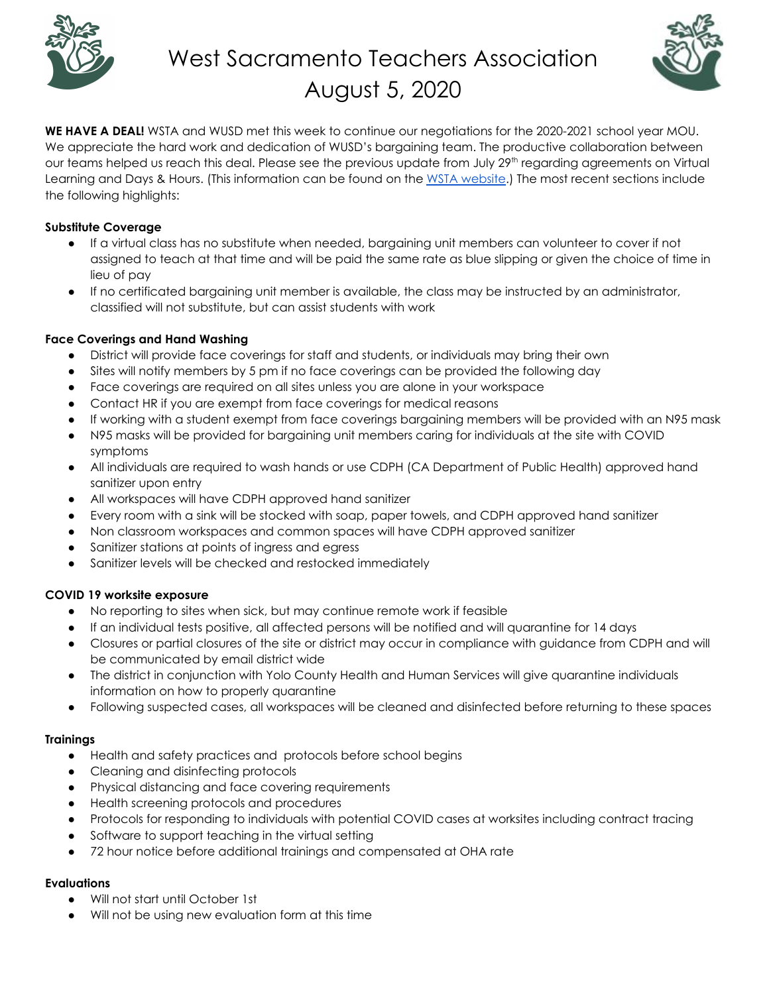

# West Sacramento Teachers Association August 5, 2020



**WE HAVE A DEAL!** WSTA and WUSD met this week to continue our negotiations for the 2020-2021 school year MOU. We appreciate the hard work and dedication of WUSD's bargaining team. The productive collaboration between our teams helped us reach this deal. Please see the previous update from July 29<sup>th</sup> regarding agreements on Virtual Learning and Days & Hours. (This information can be found on the WSTA [website.](https://www.wsteachers.org/announcements)) The most recent sections include the following highlights:

# **Substitute Coverage**

- If a virtual class has no substitute when needed, bargaining unit members can volunteer to cover if not assigned to teach at that time and will be paid the same rate as blue slipping or given the choice of time in lieu of pay
- If no certificated bargaining unit member is available, the class may be instructed by an administrator, classified will not substitute, but can assist students with work

# **Face Coverings and Hand Washing**

- District will provide face coverings for staff and students, or individuals may bring their own
- Sites will notify members by 5 pm if no face coverings can be provided the following day
- Face coverings are required on all sites unless you are alone in your workspace
- Contact HR if you are exempt from face coverings for medical reasons
- If working with a student exempt from face coverings bargaining members will be provided with an N95 mask
- N95 masks will be provided for bargaining unit members caring for individuals at the site with COVID symptoms
- All individuals are required to wash hands or use CDPH (CA Department of Public Health) approved hand sanitizer upon entry
- All workspaces will have CDPH approved hand sanitizer
- Every room with a sink will be stocked with soap, paper towels, and CDPH approved hand sanitizer
- Non classroom workspaces and common spaces will have CDPH approved sanitizer
- Sanitizer stations at points of ingress and egress
- Sanitizer levels will be checked and restocked immediately

# **COVID 19 worksite exposure**

- No reporting to sites when sick, but may continue remote work if feasible
- If an individual tests positive, all affected persons will be notified and will quarantine for 14 days
- Closures or partial closures of the site or district may occur in compliance with guidance from CDPH and will be communicated by email district wide
- The district in conjunction with Yolo County Health and Human Services will give quarantine individuals information on how to properly quarantine
- Following suspected cases, all workspaces will be cleaned and disinfected before returning to these spaces

# **Trainings**

- Health and safety practices and protocols before school begins
- Cleaning and disinfecting protocols
- Physical distancing and face covering requirements
- Health screening protocols and procedures
- Protocols for responding to individuals with potential COVID cases at worksites including contract tracing
- Software to support teaching in the virtual setting
- 72 hour notice before additional trainings and compensated at OHA rate

# **Evaluations**

- Will not start until October 1st
- Will not be using new evaluation form at this time